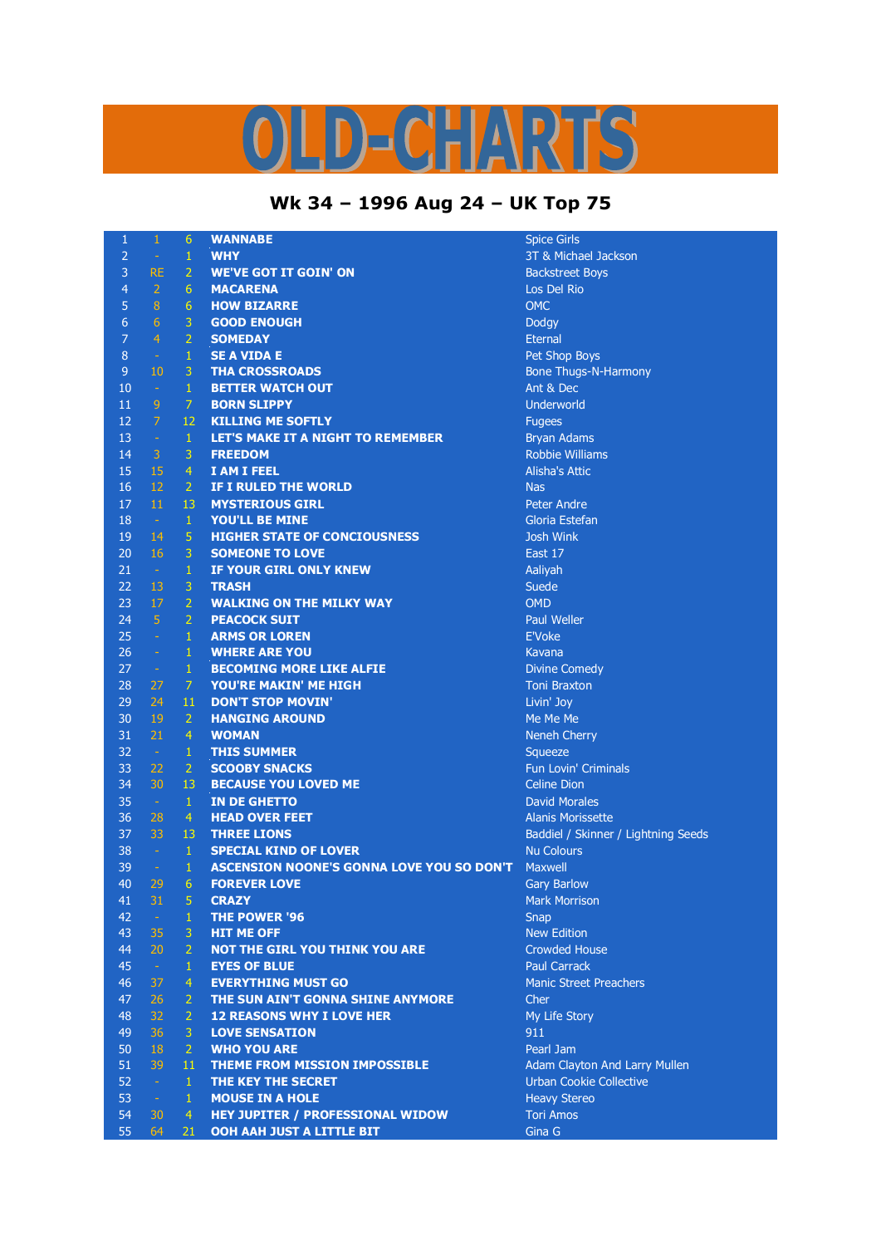## LD-CHARTS

## **Wk 34 – 1996 Aug 24 – UK Top 75**

| 1              | $\mathbf{1}$   | 6              | <b>WANNABE</b>                                   | <b>Spice Girls</b>                  |
|----------------|----------------|----------------|--------------------------------------------------|-------------------------------------|
| $\overline{2}$ | $\omega$       | $\mathbf{1}$   | <b>WHY</b>                                       | 3T & Michael Jackson                |
| 3              | <b>RE</b>      | $\overline{2}$ | <b>WE'VE GOT IT GOIN' ON</b>                     | <b>Backstreet Boys</b>              |
| 4              | $\overline{2}$ | 6              | <b>MACARENA</b>                                  | Los Del Rio                         |
| 5              | 8              | 6              | <b>HOW BIZARRE</b>                               | <b>OMC</b>                          |
| 6              | 6              | 3              | <b>GOOD ENOUGH</b>                               | Dodgy                               |
| $\overline{7}$ | $\overline{4}$ | $\overline{2}$ | <b>SOMEDAY</b>                                   | <b>Eternal</b>                      |
| 8              | $\sim$         | $\mathbf{1}$   | <b>SE A VIDA E</b>                               | Pet Shop Boys                       |
| 9              | 10             | 3              | <b>THA CROSSROADS</b>                            | Bone Thugs-N-Harmony                |
| 10             | $\sim$         | $\mathbf{1}$   | <b>BETTER WATCH OUT</b>                          | Ant & Dec                           |
| 11             | -9             | $\overline{7}$ | <b>BORN SLIPPY</b>                               | Underworld                          |
| 12             | 7              | 12             | <b>KILLING ME SOFTLY</b>                         | <b>Fugees</b>                       |
| 13             | $\sim$         | $\mathbf{1}$   | LET'S MAKE IT A NIGHT TO REMEMBER                | <b>Bryan Adams</b>                  |
| 14             | $\overline{3}$ | 3              | <b>FREEDOM</b>                                   | <b>Robbie Williams</b>              |
| 15             | 15             | $\overline{4}$ | <b>I AM I FEEL</b>                               | <b>Alisha's Attic</b>               |
| 16             | 12             | $\mathbf{2}$   | IF I RULED THE WORLD                             | Nas                                 |
| 17             | 11             | 13             | <b>MYSTERIOUS GIRL</b>                           | <b>Peter Andre</b>                  |
| 18             | $\sim$         | $\mathbf{1}$   | <b>YOU'LL BE MINE</b>                            | Gloria Estefan                      |
| 19             | 14             | $\overline{5}$ | <b>HIGHER STATE OF CONCIOUSNESS</b>              | <b>Josh Wink</b>                    |
| 20             | 16             | 3              | <b>SOMEONE TO LOVE</b>                           | East 17                             |
| 21             | $\sim$ $\sim$  | $\mathbf{1}$   | IF YOUR GIRL ONLY KNEW                           | Aaliyah                             |
| 22             | 13             | $\mathbf{3}$   | <b>TRASH</b>                                     | Suede                               |
| 23             | 17             | $\overline{2}$ | <b>WALKING ON THE MILKY WAY</b>                  | <b>OMD</b>                          |
| 24             | 5 <sup>°</sup> | $\overline{2}$ | <b>PEACOCK SUIT</b>                              | <b>Paul Weller</b>                  |
| 25             | $\sim$         | $\mathbf{1}$   | <b>ARMS OR LOREN</b>                             | <b>E'Voke</b>                       |
| 26             | $\sim$         | $\mathbf{1}$   | <b>WHERE ARE YOU</b>                             | Kavana                              |
| 27             | $\sim 10$      | $\mathbf{1}$   | <b>BECOMING MORE LIKE ALFIE</b>                  | <b>Divine Comedy</b>                |
| 28             | 27             | 7              | <b>YOU'RE MAKIN' ME HIGH</b>                     | <b>Toni Braxton</b>                 |
| 29             | 24             | 11             | <b>DON'T STOP MOVIN'</b>                         | Livin' Joy                          |
| 30             | 19             | $\overline{2}$ | <b>HANGING AROUND</b>                            | Me Me Me                            |
| 31             | 21             | $\overline{4}$ | <b>WOMAN</b>                                     | <b>Neneh Cherry</b>                 |
| 32             | $\sim$ $\sim$  | $\mathbf{1}$   | <b>THIS SUMMER</b>                               | Squeeze                             |
| 33             | 22             | $\overline{2}$ | <b>SCOOBY SNACKS</b>                             | Fun Lovin' Criminals                |
| 34             | 30             | 13             | <b>BECAUSE YOU LOVED ME</b>                      | <b>Celine Dion</b>                  |
| 35             | $\sim$ $\sim$  | $\mathbf{1}$   | <b>IN DE GHETTO</b>                              | <b>David Morales</b>                |
| 36             | 28             | $\overline{4}$ | <b>HEAD OVER FEET</b>                            | <b>Alanis Morissette</b>            |
| 37             | 33             | 13             | <b>THREE LIONS</b>                               | Baddiel / Skinner / Lightning Seeds |
| 38             | $\sim$         | $\mathbf{1}$   | <b>SPECIAL KIND OF LOVER</b>                     | <b>Nu Colours</b>                   |
| 39             | $\sim$         | $\mathbf{1}$   | <b>ASCENSION NOONE'S GONNA LOVE YOU SO DON'T</b> | <b>Maxwell</b>                      |
| 40             | 29             | 6              | <b>FOREVER LOVE</b>                              | <b>Gary Barlow</b>                  |
| 41             | 31             | 5              | <b>CRAZY</b>                                     | <b>Mark Morrison</b>                |
| 42             |                | 1              | <b>THE POWER '96</b>                             | Snap                                |
| 43             | 35             | 3              | <b>HIT ME OFF</b>                                | <b>New Edition</b>                  |
| 44             | 20             | $\overline{2}$ | <b>NOT THE GIRL YOU THINK YOU ARE</b>            | <b>Crowded House</b>                |
| 45             | $\sim$         | $\mathbf{1}$   | <b>EYES OF BLUE</b>                              | <b>Paul Carrack</b>                 |
| 46             | 37             | $\overline{4}$ | <b>EVERYTHING MUST GO</b>                        | <b>Manic Street Preachers</b>       |
| 47             | 26             | $\overline{2}$ | THE SUN AIN'T GONNA SHINE ANYMORE                | Cher                                |
| 48             | 32             | $\overline{2}$ | <b>12 REASONS WHY I LOVE HER</b>                 | My Life Story                       |
| 49             | 36             | 3              | <b>LOVE SENSATION</b>                            | 911                                 |
| 50             | 18             | 2 <sup>1</sup> | <b>WHO YOU ARE</b>                               | Pearl Jam                           |
| 51             | 39             | 11             | <b>THEME FROM MISSION IMPOSSIBLE</b>             | Adam Clayton And Larry Mullen       |
| 52             | $\sim$         | $\mathbf{1}$   | THE KEY THE SECRET                               | <b>Urban Cookie Collective</b>      |
| 53             | $\sim$         | $\mathbf{1}$   | <b>MOUSE IN A HOLE</b>                           | <b>Heavy Stereo</b>                 |
| 54             | 30             | $\overline{4}$ | <b>HEY JUPITER / PROFESSIONAL WIDOW</b>          | <b>Tori Amos</b>                    |
| 55             | 64             | 21             | OOH AAH JUST A LITTLE BIT                        | Gina G                              |